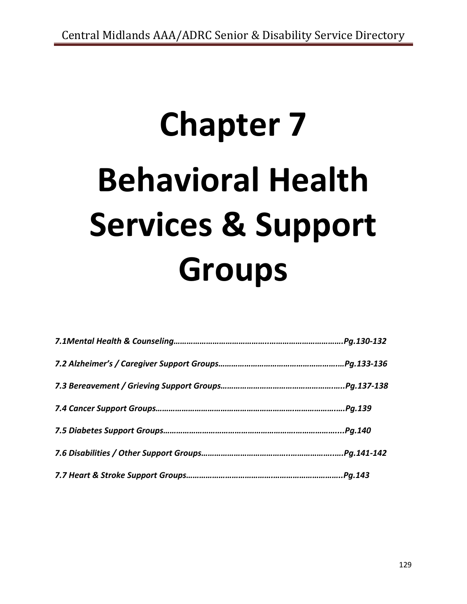# **Chapter 7 Behavioral Health Services & Support Groups**

| Pg.130-132  |
|-------------|
| Pg.133-136  |
|             |
| Pg.139.     |
| Pg.140.     |
| Pg.141-142. |
| Pg.143.     |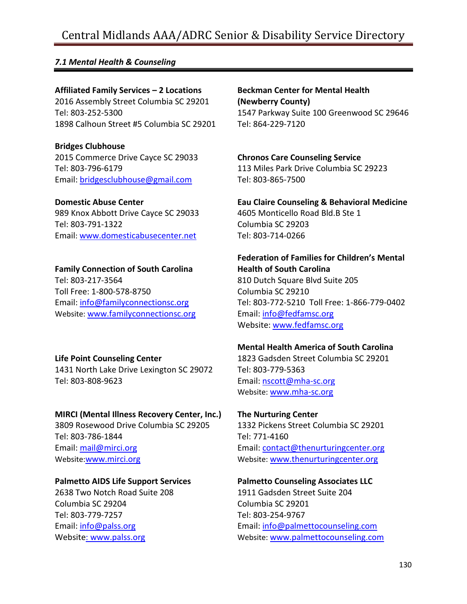# Central Midlands AAA/ADRC Senior & Disability Service Directory

# *7.1 Mental Health & Counseling*

**Affiliated Family Services – 2 Locations** 2016 Assembly Street Columbia SC 29201 Tel: 803-252-5300 1898 Calhoun Street #5 Columbia SC 29201

**Bridges Clubhouse** 2015 Commerce Drive Cayce SC 29033 Tel: 803-796-6179 Email: [bridgesclubhouse@gmail.com](mailto:bridgesclubhouse@gmail.com)

#### **Domestic Abuse Center**

989 Knox Abbott Drive Cayce SC 29033 Tel: 803-791-1322 Email: [www.domesticabusecenter.net](http://www.domesticabusecenter.net/)

# **Family Connection of South Carolina**

Tel: 803-217-3564 Toll Free: 1-800-578-8750 Email: [info@familyconnectionsc.org](mailto:info@familyconnectionsc.org) Website: [www.familyconnectionsc.org](http://www.familyconnectionsc.org/)

# **Life Point Counseling Center**

1431 North Lake Drive Lexington SC 29072 Tel: 803-808-9623

#### **MIRCI (Mental Illness Recovery Center, Inc.)**

3809 Rosewood Drive Columbia SC 29205 Tel: 803-786-1844 Email: [mail@mirci.org](mailto:mail@mirci.org) Website:[www.mirci.org](http://www.mirci.org/)

#### **Palmetto AIDS Life Support Services**

2638 Two Notch Road Suite 208 Columbia SC 29204 Tel: 803-779-7257 Email: [info@palss.org](mailto:info@palss.org) Website: [www.palss.org](http://www.palss.org/)

**Beckman Center for Mental Health (Newberry County)** 1547 Parkway Suite 100 Greenwood SC 29646 Tel: 864-229-7120

**Chronos Care Counseling Service** 113 Miles Park Drive Columbia SC 29223 Tel: 803-865-7500

**Eau Claire Counseling & Behavioral Medicine** 4605 Monticello Road Bld.B Ste 1 Columbia SC 29203 Tel: 803-714-0266

#### **Federation of Families for Children's Mental Health of South Carolina**

810 Dutch Square Blvd Suite 205 Columbia SC 29210 Tel: 803-772-5210 Toll Free: 1-866-779-0402 Email: [info@fedfamsc.org](mailto:info@fedfamsc.org) Website: [www.fedfamsc.org](http://www.fedfamsc.org/)

#### **Mental Health America of South Carolina**

1823 Gadsden Street Columbia SC 29201 Tel: 803-779-5363 Email: [nscott@mha-sc.org](mailto:nscott@mha-sc.org) Website: [www.mha-sc.org](http://www.mha-sc.org/)

#### **The Nurturing Center**

1332 Pickens Street Columbia SC 29201 Tel: 771-4160 Email: [contact@thenurturingcenter.org](mailto:contact@thenurturingcenter.org) Website: [www.thenurturingcenter.org](http://www.thenurturingcenter.org/)

# **Palmetto Counseling Associates LLC** 1911 Gadsden Street Suite 204 Columbia SC 29201 Tel: 803-254-9767 Email: [info@palmettocounseling.com](mailto:info@palmettocounseling.com)

Website: [www.palmettocounseling.com](http://www.palmettocounseling.com/)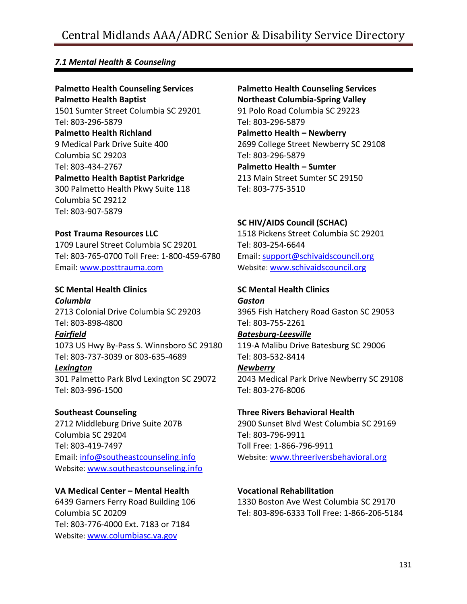# Central Midlands AAA/ADRC Senior & Disability Service Directory

# *7.1 Mental Health & Counseling*

#### **Palmetto Health Counseling Services Palmetto Health Baptist**

1501 Sumter Street Columbia SC 29201 Tel: 803-296-5879 **Palmetto Health Richland** 9 Medical Park Drive Suite 400 Columbia SC 29203 Tel: 803-434-2767 **Palmetto Health Baptist Parkridge** 300 Palmetto Health Pkwy Suite 118 Columbia SC 29212 Tel: 803-907-5879

#### **Post Trauma Resources LLC**

1709 Laurel Street Columbia SC 29201 Tel: 803-765-0700 Toll Free: 1-800-459-6780 Email: [www.posttrauma.com](http://www.posttrauma.com/)

#### **SC Mental Health Clinics** *Columbia* 2713 Colonial Drive Columbia SC 29203 Tel: 803-898-4800

*Fairfield* 1073 US Hwy By-Pass S. Winnsboro SC 29180 Tel: 803-737-3039 or 803-635-4689 *Lexington*

301 Palmetto Park Blvd Lexington SC 29072 Tel: 803-996-1500

#### **Southeast Counseling**

2712 Middleburg Drive Suite 207B Columbia SC 29204 Tel: 803-419-7497 Email: [info@southeastcounseling.info](mailto:info@southeastcounseling.info) Website: [www.southeastcounseling.info](http://www.southeastcounseling.info/)

#### **VA Medical Center – Mental Health**

6439 Garners Ferry Road Building 106 Columbia SC 20209 Tel: 803-776-4000 Ext. 7183 or 7184 Website: [www.columbiasc.va.gov](http://www.columbiasc.va.gov/)

# **Palmetto Health Counseling Services Northeast Columbia-Spring Valley** 91 Polo Road Columbia SC 29223

Tel: 803-296-5879 **Palmetto Health – Newberry** 2699 College Street Newberry SC 29108 Tel: 803-296-5879 **Palmetto Health – Sumter** 213 Main Street Sumter SC 29150 Tel: 803-775-3510

#### **SC HIV/AIDS Council (SCHAC)**

1518 Pickens Street Columbia SC 29201 Tel: 803-254-6644 Email: [support@schivaidscouncil.org](mailto:support@schivaidscouncil.org) Website: [www.schivaidscouncil.org](http://www.schivaidscouncil.org/)

# **SC Mental Health Clinics**

*Gaston* 3965 Fish Hatchery Road Gaston SC 29053 Tel: 803-755-2261

#### *Batesburg-Leesville*

119-A Malibu Drive Batesburg SC 29006 Tel: 803-532-8414

#### *Newberry*

2043 Medical Park Drive Newberry SC 29108 Tel: 803-276-8006

#### **Three Rivers Behavioral Health**

2900 Sunset Blvd West Columbia SC 29169 Tel: 803-796-9911 Toll Free: 1-866-796-9911 Website: [www.threeriversbehavioral.org](http://www.threeriversbehavioral.org/)

# **Vocational Rehabilitation**

1330 Boston Ave West Columbia SC 29170 Tel: 803-896-6333 Toll Free: 1-866-206-5184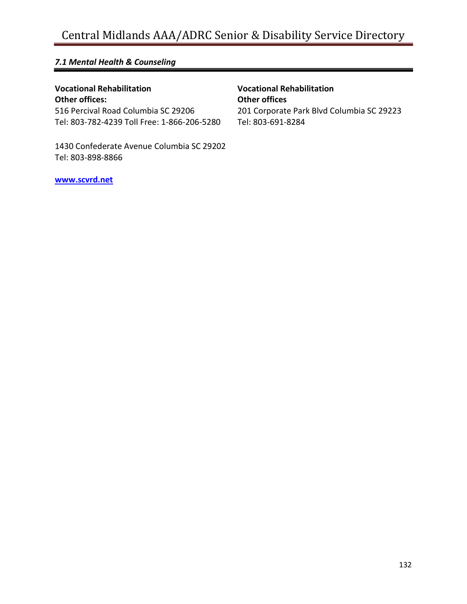# *7.1 Mental Health & Counseling*

# **Vocational Rehabilitation**

**Other offices:** 516 Percival Road Columbia SC 29206 Tel: 803-782-4239 Toll Free: 1-866-206-5280

1430 Confederate Avenue Columbia SC 29202 Tel: 803-898-8866

**Vocational Rehabilitation Other offices** 201 Corporate Park Blvd Columbia SC 29223 Tel: 803-691-8284

**[www.scvrd.net](http://www.scvrd.net/)**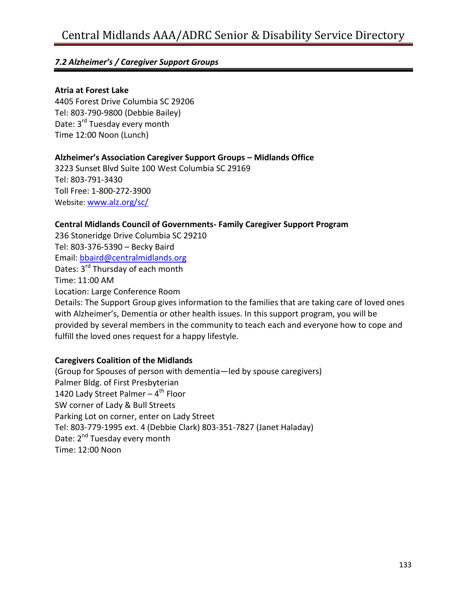#### **Atria at Forest Lake**

4405 Forest Drive Columbia SC 29206 Tel: 803-790-9800 (Debbie Bailey) Date: 3<sup>rd</sup> Tuesday every month Time 12:00 Noon (Lunch)

#### **Alzheimer's Association Caregiver Support Groups – Midlands Office**

3223 Sunset Blvd Suite 100 West Columbia SC 29169 Tel: 803-791-3430 Toll Free: 1-800-272-3900 Website: [www.alz.org/sc/](http://www.alz.org/sc/)

#### **Central Midlands Council of Governments- Family Caregiver Support Program**

236 Stoneridge Drive Columbia SC 29210 Tel: 803-376-5390 – Becky Baird Email: [bbaird@centralmidlands.org](mailto:bbaird@centralmidlands.org) Dates: 3<sup>rd</sup> Thursday of each month Time: 11:00 AM Location: Large Conference Room Details: The Support Group gives information to the families that are taking care of loved ones with Alzheimer's, Dementia or other health issues. In this support program, you will be provided by several members in the community to teach each and everyone how to cope and fulfill the loved ones request for a happy lifestyle.

# **Caregivers Coalition of the Midlands**

(Group for Spouses of person with dementia—led by spouse caregivers) Palmer Bldg. of First Presbyterian 1420 Lady Street Palmer – 4<sup>th</sup> Floor SW corner of Lady & Bull Streets Parking Lot on corner, enter on Lady Street Tel: 803-779-1995 ext. 4 (Debbie Clark) 803-351-7827 (Janet Haladay) Date: 2<sup>nd</sup> Tuesday every month Time: 12:00 Noon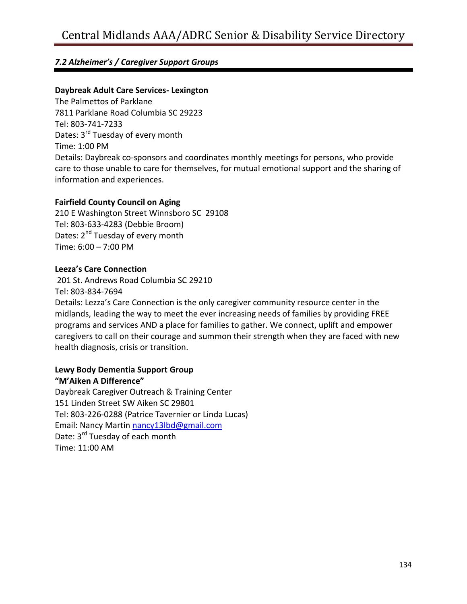# **Daybreak Adult Care Services- Lexington**

The Palmettos of Parklane 7811 Parklane Road Columbia SC 29223 Tel: 803-741-7233 Dates: 3<sup>rd</sup> Tuesday of every month Time: 1:00 PM Details: Daybreak co-sponsors and coordinates monthly meetings for persons, who provide care to those unable to care for themselves, for mutual emotional support and the sharing of information and experiences.

# **Fairfield County Council on Aging**

210 E Washington Street Winnsboro SC 29108 Tel: 803-633-4283 (Debbie Broom) Dates: 2<sup>nd</sup> Tuesday of every month Time: 6:00 – 7:00 PM

# **Leeza's Care Connection**

201 St. Andrews Road Columbia SC 29210 Tel: 803-834-7694

Details: Lezza's Care Connection is the only caregiver community resource center in the midlands, leading the way to meet the ever increasing needs of families by providing FREE programs and services AND a place for families to gather. We connect, uplift and empower caregivers to call on their courage and summon their strength when they are faced with new health diagnosis, crisis or transition.

#### **Lewy Body Dementia Support Group "M'Aiken A Difference"**

Daybreak Caregiver Outreach & Training Center 151 Linden Street SW Aiken SC 29801 Tel: 803-226-0288 (Patrice Tavernier or Linda Lucas) Email: Nancy Martin [nancy13lbd@gmail.com](mailto:nancy13lbd@gmail.com) Date: 3<sup>rd</sup> Tuesday of each month Time: 11:00 AM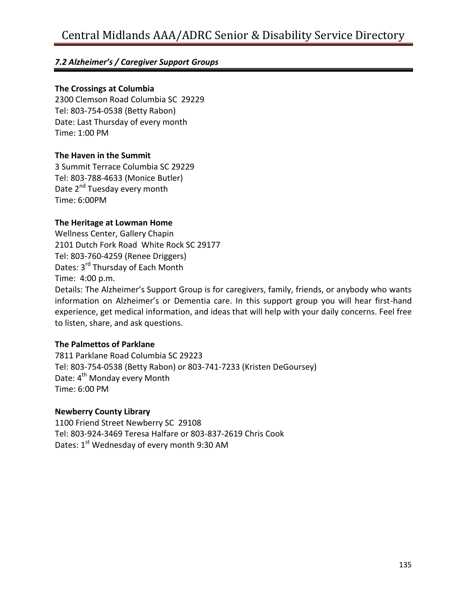#### **The Crossings at Columbia**

2300 Clemson Road Columbia SC 29229 Tel: 803-754-0538 (Betty Rabon) Date: Last Thursday of every month Time: 1:00 PM

# **The Haven in the Summit**

3 Summit Terrace Columbia SC 29229 Tel: 803-788-4633 (Monice Butler) Date 2<sup>nd</sup> Tuesday every month Time: 6:00PM

# **The Heritage at Lowman Home**

Wellness Center, Gallery Chapin 2101 Dutch Fork Road White Rock SC 29177 Tel: 803-760-4259 (Renee Driggers) Dates*:* 3 rd Thursday of Each Month Time:4:00 p.m. Details: The Alzheimer's Support Group is for caregivers, family, friends, or anybody who wants information on Alzheimer's or Dementia care. In this support group you will hear first-hand experience, get medical information, and ideas that will help with your daily concerns. Feel free to listen, share, and ask questions.

# **The Palmettos of Parklane**

7811 Parklane Road Columbia SC 29223 Tel: 803-754-0538 (Betty Rabon) or 803-741-7233 (Kristen DeGoursey) Date: 4<sup>th</sup> Monday every Month Time: 6:00 PM

# **Newberry County Library**

1100 Friend Street Newberry SC 29108 Tel: 803-924-3469 Teresa Halfare or 803-837-2619 Chris Cook Dates:  $1<sup>st</sup>$  Wednesday of every month 9:30 AM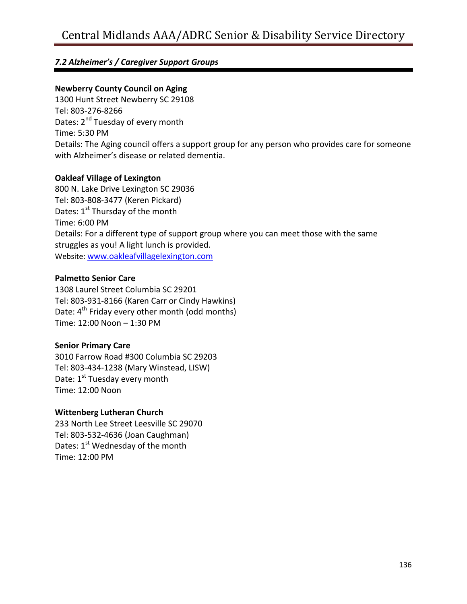### **Newberry County Council on Aging**

1300 Hunt Street Newberry SC 29108 Tel: 803-276-8266 Dates: 2<sup>nd</sup> Tuesday of every month Time: 5:30 PM Details: The Aging council offers a support group for any person who provides care for someone with Alzheimer's disease or related dementia.

#### **Oakleaf Village of Lexington**

800 N. Lake Drive Lexington SC 29036 Tel: 803-808-3477 (Keren Pickard) Dates: 1<sup>st</sup> Thursday of the month Time: 6:00 PM Details: For a different type of support group where you can meet those with the same struggles as you! A light lunch is provided. Website: [www.oakleafvillagelexington.com](http://www.oakleafvillagelexington.com/)

#### **Palmetto Senior Care**

1308 Laurel Street Columbia SC 29201 Tel: 803-931-8166 (Karen Carr or Cindy Hawkins) Date:  $4<sup>th</sup>$  Friday every other month (odd months) Time: 12:00 Noon – 1:30 PM

# **Senior Primary Care**

3010 Farrow Road #300 Columbia SC 29203 Tel: 803-434-1238 (Mary Winstead, LISW) Date: 1<sup>st</sup> Tuesday every month Time: 12:00 Noon

# **Wittenberg Lutheran Church**

233 North Lee Street Leesville SC 29070 Tel: 803-532-4636 (Joan Caughman) Dates:  $1<sup>st</sup>$  Wednesday of the month Time: 12:00 PM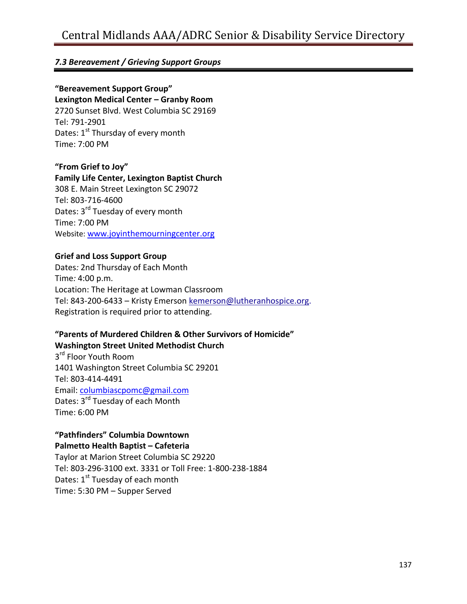# *7.3 Bereavement / Grieving Support Groups*

# **"Bereavement Support Group"**

**Lexington Medical Center – Granby Room** 2720 Sunset Blvd. West Columbia SC 29169 Tel: 791-2901 Dates: 1<sup>st</sup> Thursday of every month Time: 7:00 PM

#### **"From Grief to Joy"**

#### **Family Life Center, Lexington Baptist Church**

308 E. Main Street Lexington SC 29072 Tel: 803-716-4600 Dates: 3<sup>rd</sup> Tuesday of every month Time: 7:00 PM Website: [www.joyinthemourningcenter.org](http://www.joyinthemourningcenter.org/)

# **Grief and Loss Support Group**

Dates*:* 2nd Thursday of Each Month Time*:* 4:00 p.m. Location: The Heritage at Lowman Classroom Tel: 843-200-6433 – Kristy Emerso[n kemerson@lutheranhospice.org.](mailto:kemerson@lutheranhospice.org) Registration is required prior to attending.

#### **"Parents of Murdered Children & Other Survivors of Homicide" Washington Street United Methodist Church**

3<sup>rd</sup> Floor Youth Room 1401 Washington Street Columbia SC 29201 Tel: 803-414-4491 Email: [columbiascpomc@gmail.com](mailto:columbiascpomc@gmail.com) Dates:  $3^{rd}$  Tuesday of each Month Time: 6:00 PM

#### **"Pathfinders" Columbia Downtown Palmetto Health Baptist – Cafeteria**

Taylor at Marion Street Columbia SC 29220 Tel: 803-296-3100 ext. 3331 or Toll Free: 1-800-238-1884 Dates:  $1<sup>st</sup>$  Tuesday of each month Time: 5:30 PM – Supper Served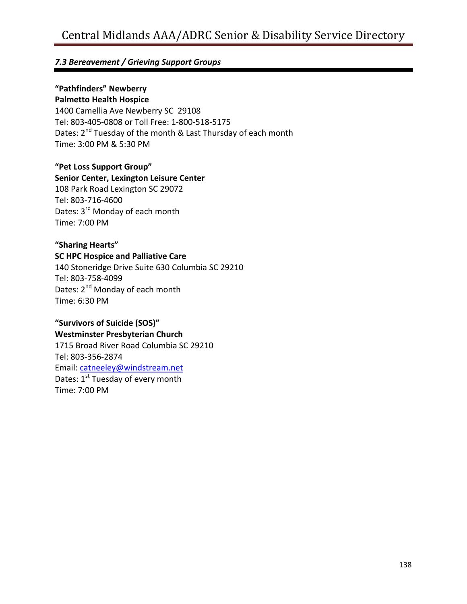# *7.3 Bereavement / Grieving Support Groups*

# **"Pathfinders" Newberry**

**Palmetto Health Hospice**

1400 Camellia Ave Newberry SC 29108 Tel: 803-405-0808 or Toll Free: 1-800-518-5175 Dates: 2<sup>nd</sup> Tuesday of the month & Last Thursday of each month Time: 3:00 PM & 5:30 PM

# **"Pet Loss Support Group"**

#### **Senior Center, Lexington Leisure Center**

108 Park Road Lexington SC 29072 Tel: 803-716-4600 Dates: 3<sup>rd</sup> Monday of each month Time: 7:00 PM

# **"Sharing Hearts"**

#### **SC HPC Hospice and Palliative Care**

140 Stoneridge Drive Suite 630 Columbia SC 29210 Tel: 803-758-4099 Dates: 2<sup>nd</sup> Monday of each month Time: 6:30 PM

# **"Survivors of Suicide (SOS)"**

**Westminster Presbyterian Church** 1715 Broad River Road Columbia SC 29210 Tel: 803-356-2874 Email: [catneeley@windstream.net](mailto:catneeley@windstream.net) Dates:  $1<sup>st</sup>$  Tuesday of every month Time: 7:00 PM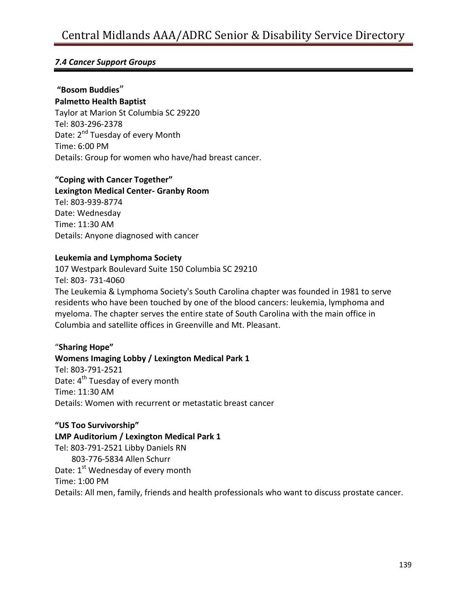# *7.4 Cancer Support Groups*

# **"Bosom Buddies**"

**Palmetto Health Baptist**

Taylor at Marion St Columbia SC 29220 Tel: 803-296-2378 Date: 2<sup>nd</sup> Tuesday of every Month Time: 6:00 PM Details: Group for women who have/had breast cancer.

# **"Coping with Cancer Together"**

**Lexington Medical Center- Granby Room** Tel: 803-939-8774 Date: Wednesday Time: 11:30 AM Details: Anyone diagnosed with cancer

# **Leukemia and Lymphoma Society**

107 Westpark Boulevard Suite 150 Columbia SC 29210 Tel: 803- 731-4060 The Leukemia & Lymphoma Society's South Carolina chapter was founded in 1981 to serve residents who have been touched by one of the blood cancers: leukemia, lymphoma and myeloma. The chapter serves the entire state of South Carolina with the main office in Columbia and satellite offices in Greenville and Mt. Pleasant.

# "**Sharing Hope"**

# **Womens Imaging Lobby / Lexington Medical Park 1**

Tel: 803-791-2521 Date: 4<sup>th</sup> Tuesday of every month Time: 11:30 AM Details: Women with recurrent or metastatic breast cancer

# **"US Too Survivorship"**

#### **LMP Auditorium / Lexington Medical Park 1**

Tel: 803-791-2521 Libby Daniels RN 803-776-5834 Allen Schurr Date: 1<sup>st</sup> Wednesday of every month Time: 1:00 PM Details: All men, family, friends and health professionals who want to discuss prostate cancer.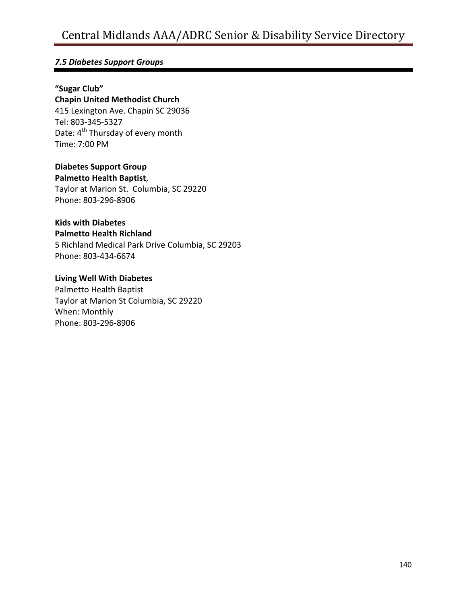# *7.5 Diabetes Support Groups*

# **"Sugar Club"**

**Chapin United Methodist Church** 415 Lexington Ave. Chapin SC 29036 Tel: 803-345-5327 Date: 4<sup>th</sup> Thursday of every month Time: 7:00 PM

# **Diabetes Support Group**

**Palmetto Health Baptist**, Taylor at Marion St. Columbia, SC 29220

Phone: 803-296-8906

# **Kids with Diabetes**

#### **Palmetto Health Richland**

5 Richland Medical Park Drive Columbia, SC 29203 Phone: 803-434-6674

#### **Living Well With Diabetes**

Palmetto Health Baptist Taylor at Marion St Columbia, SC 29220 When: Monthly Phone: 803-296-8906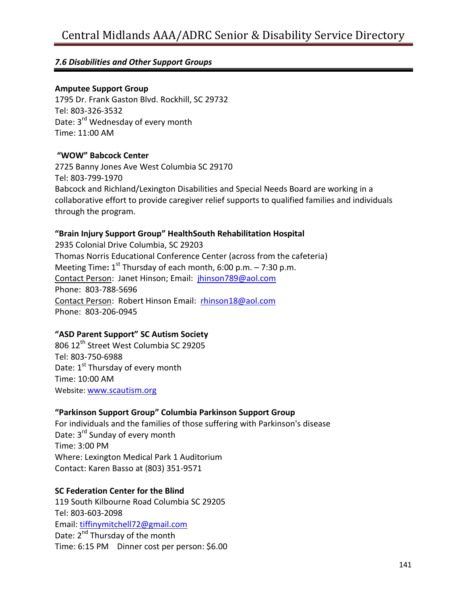# *7.6 Disabilities and Other Support Groups*

#### **Amputee Support Group**

1795 Dr. Frank Gaston Blvd. Rockhill, SC 29732 Tel: 803-326-3532 Date: 3<sup>rd</sup> Wednesday of every month Time: 11:00 AM

# **"WOW" Babcock Center**

2725 Banny Jones Ave West Columbia SC 29170 Tel: 803-799-1970 Babcock and Richland/Lexington Disabilities and Special Needs Board are working in a collaborative effort to provide caregiver relief supports to qualified families and individuals through the program.

# **"Brain Injury Support Group" HealthSouth Rehabilitation Hospital**

2935 Colonial Drive Columbia, SC 29203 Thomas Norris Educational Conference Center (across from the cafeteria) Meeting Time: 1<sup>st</sup> Thursday of each month, 6:00 p.m. – 7:30 p.m. Contact Person: Janet Hinson; Email: [jhinson789@aol.com](mailto:jhinson789@aol.com) Phone: 803-788-5696 Contact Person: Robert Hinson Email: [rhinson18@aol.com](mailto:rhinson18@aol.com) Phone: 803-206-0945

# **"ASD Parent Support" SC Autism Society**

806 12th Street West Columbia SC 29205 Tel: 803-750-6988 Date: 1<sup>st</sup> Thursday of every month Time: 10:00 AM Website: [www.scautism.org](http://www.scautism.org/)

# **"Parkinson Support Group" Columbia Parkinson Support Group**

For individuals and the families of those suffering with Parkinson's disease Date: 3<sup>rd</sup> Sunday of every month Time: 3:00 PM Where: Lexington Medical Park 1 Auditorium Contact: Karen Basso at (803) 351-9571

# **SC Federation Center for the Blind**

119 South Kilbourne Road Columbia SC 29205 Tel: 803-603-2098 Email: [tiffinymitchell72@gmail.com](mailto:tiffinymitchell72@gmail.com) Date: 2<sup>nd</sup> Thursday of the month Time: 6:15 PM Dinner cost per person: \$6.00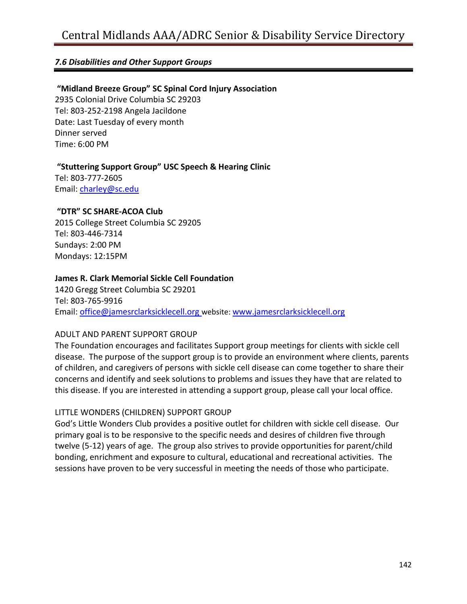# *7.6 Disabilities and Other Support Groups*

#### **"Midland Breeze Group" SC Spinal Cord Injury Association**

2935 Colonial Drive Columbia SC 29203 Tel: 803-252-2198 Angela Jacildone Date: Last Tuesday of every month Dinner served Time: 6:00 PM

#### **"Stuttering Support Group" USC Speech & Hearing Clinic**

Tel: 803-777-2605 Email: [charley@sc.edu](mailto:charley@sc.edu)

#### **"DTR" SC SHARE-ACOA Club**

2015 College Street Columbia SC 29205 Tel: 803-446-7314 Sundays: 2:00 PM Mondays: 12:15PM

#### **James R. Clark Memorial Sickle Cell Foundation**

1420 Gregg Street Columbia SC 29201 Tel: 803-765-9916 Email: [office@jamesrclarksicklecell.org](mailto:office@jamesrclarksicklecell.org) website: [www.jamesrclarksicklecell.org](http://www.jamesrclarksicklecell.org/)

#### ADULT AND PARENT SUPPORT GROUP

The Foundation encourages and facilitates Support group meetings for clients with sickle cell disease. The purpose of the support group is to provide an environment where clients, parents of children, and caregivers of persons with sickle cell disease can come together to share their concerns and identify and seek solutions to problems and issues they have that are related to this disease. If you are interested in attending a support group, please call your local office.

#### LITTLE WONDERS (CHILDREN) SUPPORT GROUP

God's Little Wonders Club provides a positive outlet for children with sickle cell disease. Our primary goal is to be responsive to the specific needs and desires of children five through twelve (5-12) years of age. The group also strives to provide opportunities for parent/child bonding, enrichment and exposure to cultural, educational and recreational activities. The sessions have proven to be very successful in meeting the needs of those who participate.